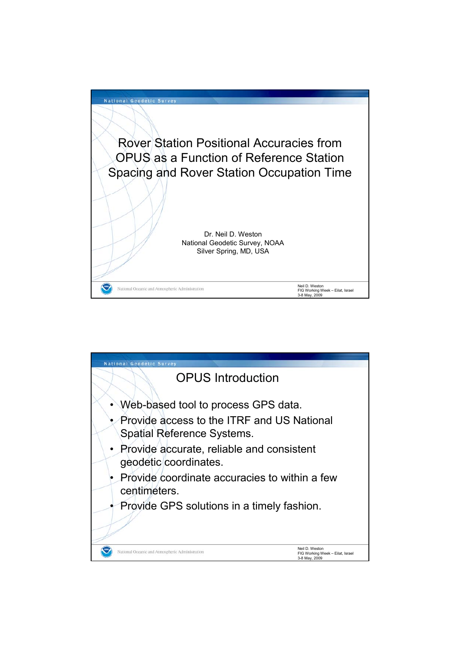

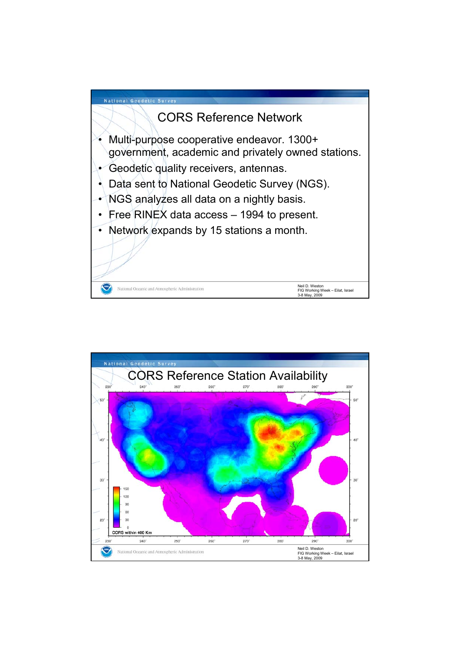

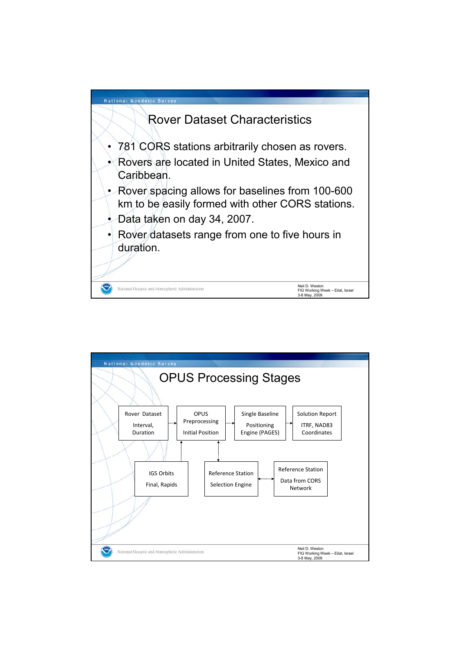

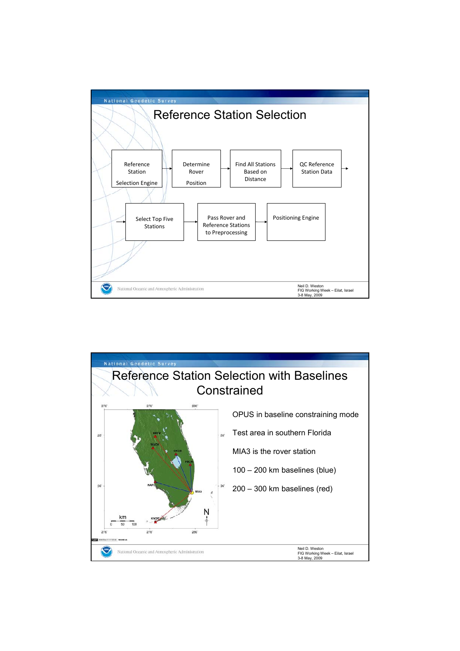

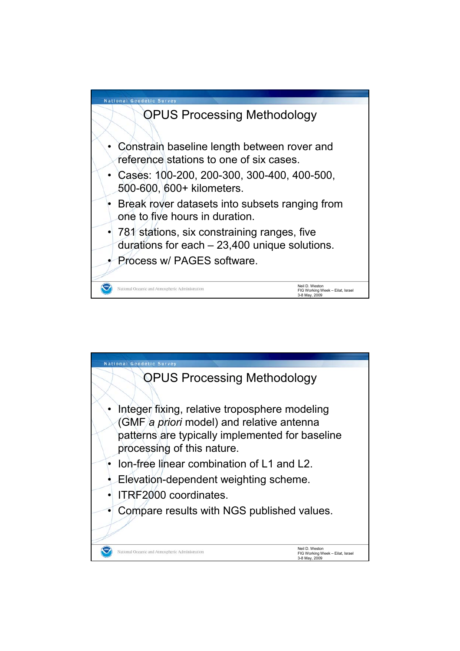

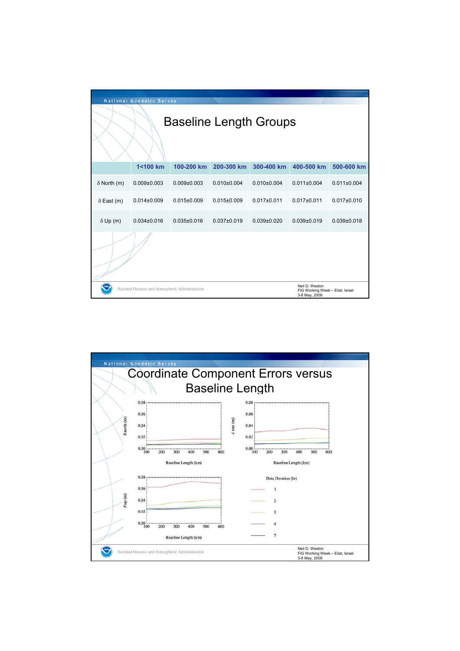| <b>National Geodetic Survey</b> |                                                 |                                                                     |                   |                 |                   |                   |  |  |  |  |  |  |
|---------------------------------|-------------------------------------------------|---------------------------------------------------------------------|-------------------|-----------------|-------------------|-------------------|--|--|--|--|--|--|
| <b>Baseline Length Groups</b>   |                                                 |                                                                     |                   |                 |                   |                   |  |  |  |  |  |  |
|                                 | 1<100 km                                        | 100-200 km                                                          | 200-300 km        | 300-400 km      | 400-500 km        | 500-600 km        |  |  |  |  |  |  |
| $\delta$ North (m)              | $0.009 \pm 0.003$                               | $0.009 \pm 0.003$                                                   | $0.010\pm0.004$   | $0.010\pm0.004$ | $0.011 \pm 0.004$ | $0.011 \pm 0.004$ |  |  |  |  |  |  |
| $\delta$ East (m)               | $0.014\pm0.009$                                 | $0.015 \pm 0.009$                                                   | $0.015 \pm 0.009$ | $0.017 + 0.011$ | $0.017 + 0.011$   | $0.017 + 0.010$   |  |  |  |  |  |  |
| $\delta$ Up (m)                 | $0.034\pm0.016$                                 | $0.035 \pm 0.016$                                                   | $0.037 \pm 0.019$ | $0.039 + 0.020$ | $0.039 + 0.019$   | $0.039 + 0.018$   |  |  |  |  |  |  |
|                                 |                                                 |                                                                     |                   |                 |                   |                   |  |  |  |  |  |  |
|                                 | National Oceanic and Atmospheric Administration | Neil D. Weston<br>FIG Working Week - Eilat, Israel<br>3-8 May, 2009 |                   |                 |                   |                   |  |  |  |  |  |  |

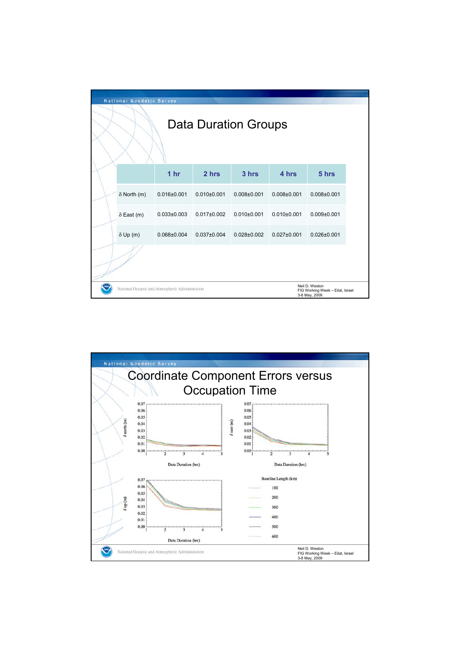|                      | <b>National Geodetic Survey</b>                                                                                        |                   |                   |                   |                   |                   |  |  |  |  |
|----------------------|------------------------------------------------------------------------------------------------------------------------|-------------------|-------------------|-------------------|-------------------|-------------------|--|--|--|--|
| Data Duration Groups |                                                                                                                        |                   |                   |                   |                   |                   |  |  |  |  |
|                      |                                                                                                                        | 1 <sub>hr</sub>   | 2 hrs             | 3 hrs             | 4 hrs             | 5 hrs             |  |  |  |  |
|                      | $\delta$ North (m)                                                                                                     | $0.016 \pm 0.001$ | $0.010\pm0.001$   | $0.008 \pm 0.001$ | $0.008 \pm 0.001$ | $0.008 + 0.001$   |  |  |  |  |
|                      | $\delta$ East (m)                                                                                                      | $0.033 \pm 0.003$ | $0.017 \pm 0.002$ | $0.010+0.001$     | $0.010+0.001$     | $0.009 + 0.001$   |  |  |  |  |
|                      | $\delta$ Up (m)                                                                                                        | $0.068 \pm 0.004$ | $0.037 \pm 0.004$ | $0.028 \pm 0.002$ | $0.027 \pm 0.001$ | $0.026 \pm 0.001$ |  |  |  |  |
|                      |                                                                                                                        |                   |                   |                   |                   |                   |  |  |  |  |
|                      | Neil D. Weston<br>National Oceanic and Atmospheric Administration<br>FIG Working Week - Eilat, Israel<br>3-8 May, 2009 |                   |                   |                   |                   |                   |  |  |  |  |

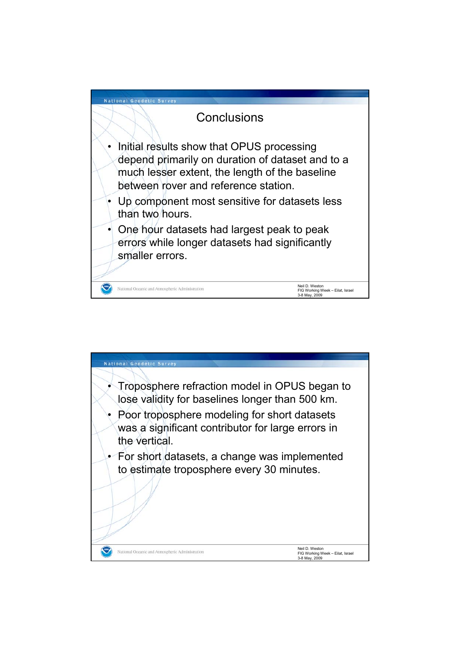